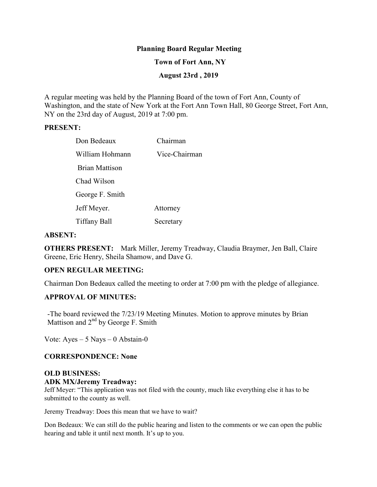## **Planning Board Regular Meeting**

### **Town of Fort Ann, NY**

### **August 23rd , 2019**

A regular meeting was held by the Planning Board of the town of Fort Ann, County of Washington, and the state of New York at the Fort Ann Town Hall, 80 George Street, Fort Ann, NY on the 23rd day of August, 2019 at 7:00 pm.

#### **PRESENT:**

| Don Bedeaux           | Chairman      |
|-----------------------|---------------|
| William Hohmann       | Vice-Chairman |
| <b>Brian Mattison</b> |               |
| Chad Wilson           |               |
| George F. Smith       |               |
| Jeff Meyer.           | Attorney      |
| Tiffany Ball          | Secretary     |

#### **ABSENT:**

**OTHERS PRESENT:** Mark Miller, Jeremy Treadway, Claudia Braymer, Jen Ball, Claire Greene, Eric Henry, Sheila Shamow, and Dave G.

#### **OPEN REGULAR MEETING:**

Chairman Don Bedeaux called the meeting to order at 7:00 pm with the pledge of allegiance.

#### **APPROVAL OF MINUTES:**

-The board reviewed the 7/23/19 Meeting Minutes. Motion to approve minutes by Brian Mattison and  $2<sup>nd</sup>$  by George F. Smith

Vote:  $Ayes - 5$  Nays  $-0$  Abstain-0

#### **CORRESPONDENCE: None**

# **OLD BUSINESS: ADK MX/Jeremy Treadway:**

Jeff Meyer: "This application was not filed with the county, much like everything else it has to be submitted to the county as well.

Jeremy Treadway: Does this mean that we have to wait?

Don Bedeaux: We can still do the public hearing and listen to the comments or we can open the public hearing and table it until next month. It's up to you.